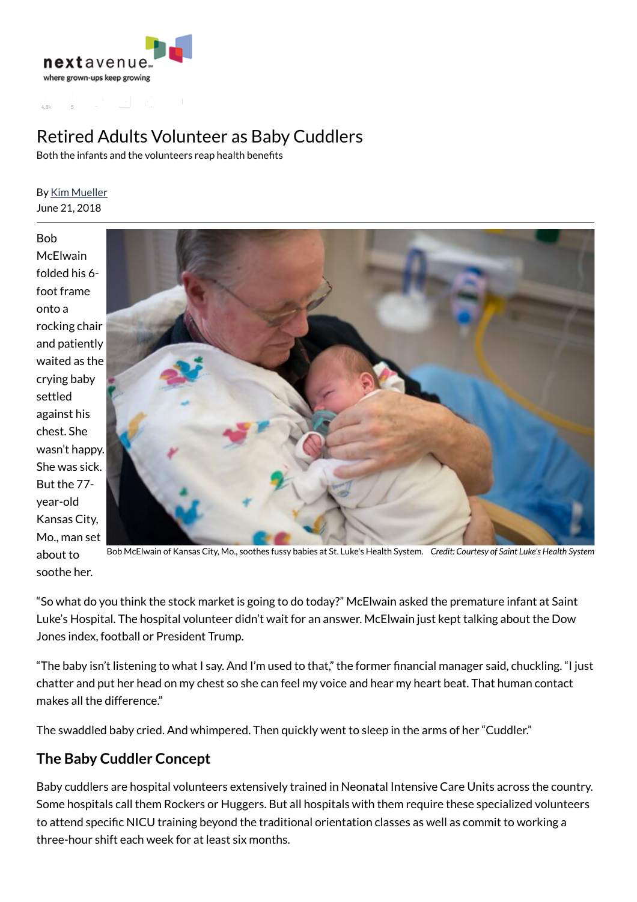



# Retired Adults Volunteer as Baby Cuddlers

Both the infants and the volunteers reap health benefits

#### By Kim Mueller June 21, 2018

Bob **McFlwain** folded his 6 foot frame onto a rocking chair and patiently waited as the crying baby settled against his chest. She wasn't happy. She was sick. But the 77 year-old Kansas City, Mo., man set about to soothe her.



Bob McElwain of Kansas City, Mo., soothes fussy babies at St. Luke's Health System. *Credit: Courtesy of Saint Luke's Health System*

"So what do you think the stock market is going to do today?" McElwain asked the premature infant at Saint Luke's Hospital. The hospital volunteer didn't wait for an answer. McElwain just kept talking about the Dow Jones index, football or President Trump.

"The baby isn't listening to what I say. And I'm used to that," the former financial manager said, chuckling. "I just chatter and put her head on my chest so she can feel my voice and hear my heart beat. That human contact makes all the difference."

The swaddled baby cried. And whimpered. Then quickly went to sleep in the arms of her "Cuddler."

#### **The Baby Cuddler Concept**

Baby cuddlers are hospital volunteers extensively trained in Neonatal Intensive Care Units across the country. Some hospitals call them Rockers or Huggers. But all hospitals with them require these specialized volunteers to attend specific NICU training beyond the traditional orientation classes as well as commit to working a three-hour shift each week for at least six months.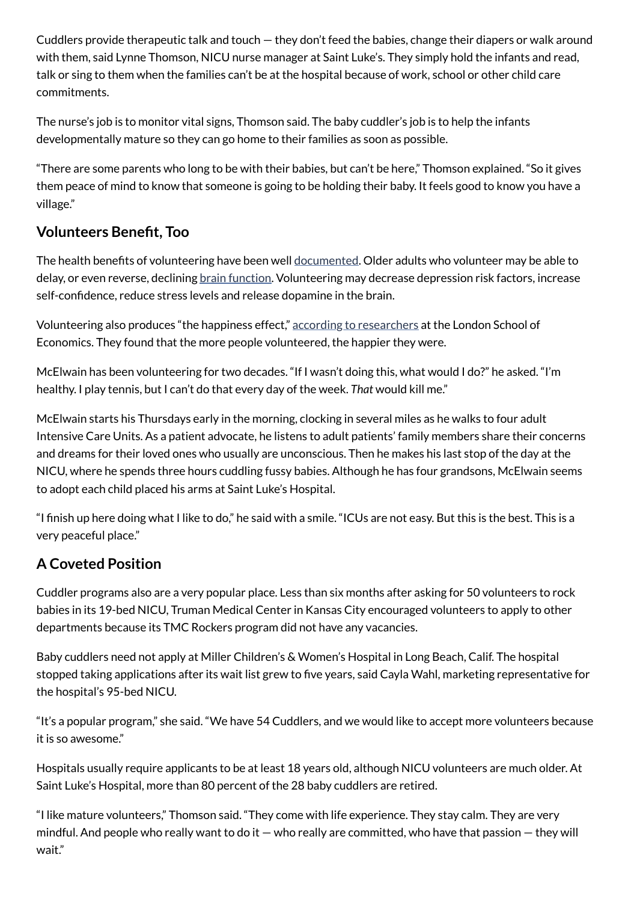Cuddlers provide therapeutic talk and touch — they don't feed the babies, change their diapers or walk around with them, said Lynne Thomson, NICU nurse manager at Saint Luke's. They simply hold the infants and read, talk or sing to them when the families can't be at the hospital because of work, school or other child care commitments.

The nurse's job is to monitor vital signs, Thomson said. The baby cuddler's job is to help the infants developmentally mature so they can go home to their families as soon as possible.

"There are some parents who long to be with their babies, but can't be here," Thomson explained. "So it gives them peace of mind to know that someone is going to be holding their baby. It feels good to know you have a village."

### **Volunteers Benet, Too**

The health benefits of volunteering have been well documented. Older adults who volunteer may be able to delay, or even reverse, declining brain function. Volunteering may decrease depression risk factors, increase self-confidence, reduce stress levels and release dopamine in the brain.

Volunteering also produces "the happiness effect," according to researchers at the London School of Economics. They found that the more people volunteered, the happier they were.

McElwain has been volunteering for two decades. "If I wasn't doing this, what would I do?" he asked. "I'm healthy. I play tennis, but I can't do that every day of the week. *That* would kill me."

McElwain starts his Thursdays early in the morning, clocking in several miles as he walks to four adult Intensive Care Units. As a patient advocate, he listens to adult patients' family members share their concerns and dreams for their loved ones who usually are unconscious. Then he makes his last stop of the day at the NICU, where he spends three hours cuddling fussy babies. Although he has four grandsons, McElwain seems to adopt each child placed his arms at Saint Luke's Hospital.

"I finish up here doing what I like to do," he said with a smile. "ICUs are not easy. But this is the best. This is a very peaceful place."

## **A Coveted Position**

Cuddler programs also are a very popular place. Less than six months after asking for 50 volunteers to rock babies in its 19-bed NICU, Truman Medical Center in Kansas City encouraged volunteers to apply to other departments because its TMC Rockers program did not have any vacancies.

Baby cuddlers need not apply at Miller Children's & Women's Hospital in Long Beach, Calif. The hospital stopped taking applications after its wait list grew to five years, said Cayla Wahl, marketing representative for the hospital's 95-bed NICU.

"It's a popular program," she said. "We have 54 Cuddlers, and we would like to accept more volunteers because it is so awesome."

Hospitals usually require applicants to be at least 18 years old, although NICU volunteers are much older. At Saint Luke's Hospital, more than 80 percent of the 28 baby cuddlers are retired.

"I like mature volunteers," Thomson said. "They come with life experience. They stay calm. They are very mindful. And people who really want to do it  $-$  who really are committed, who have that passion  $-$  they will wait."